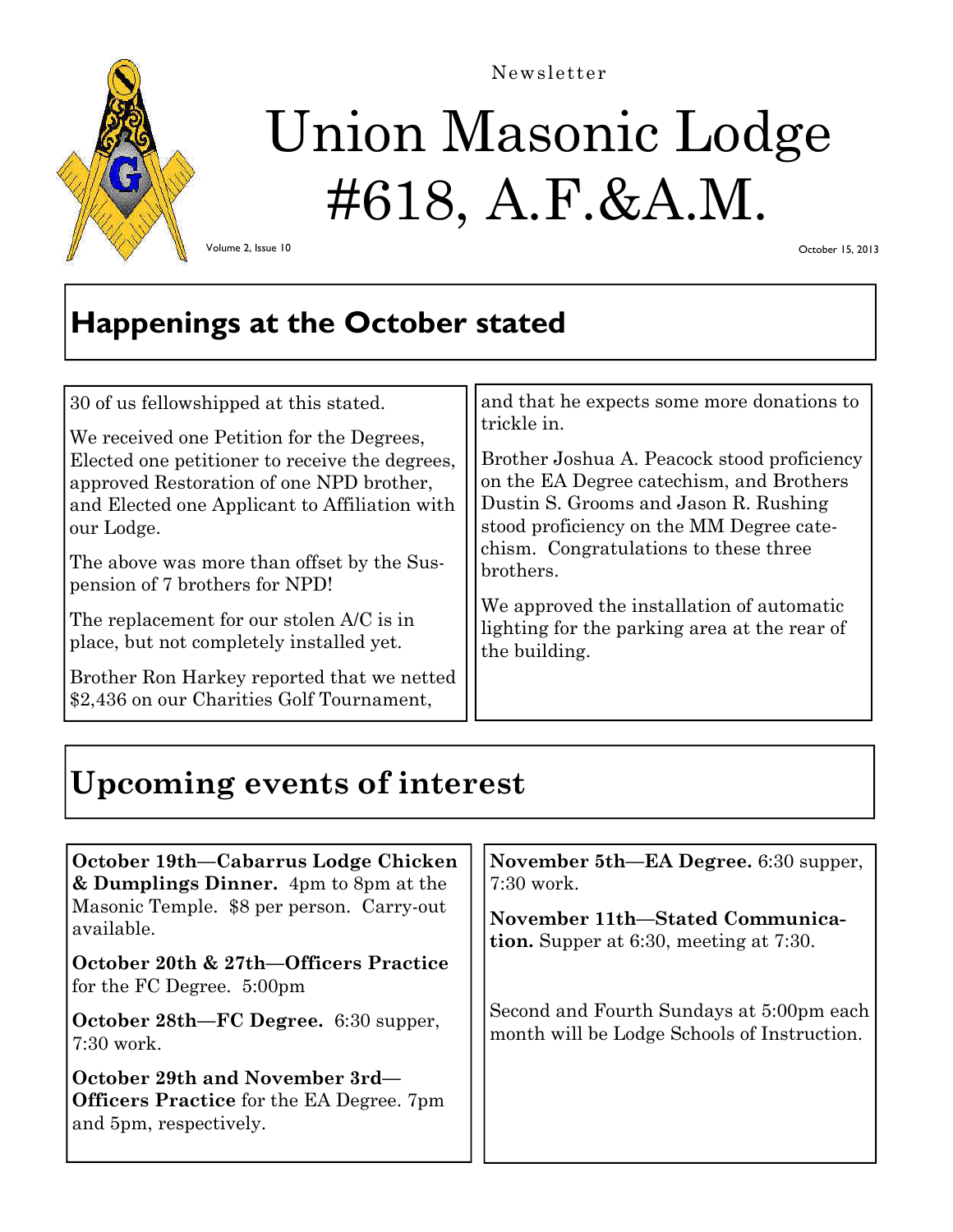

Newsletter

# Union Masonic Lodge #618, A.F.&A.M.

Volume 2, Issue 10

October 15, 2013

## **Happenings at the October stated**

| 30 of us fellowshipped at this stated.<br>We received one Petition for the Degrees,<br>Elected one petitioner to receive the degrees,<br>approved Restoration of one NPD brother,<br>and Elected one Applicant to Affiliation with<br>our Lodge.<br>The above was more than offset by the Sus-<br>pension of 7 brothers for NPD! | and that he expects some more donations to<br>trickle in.<br>Brother Joshua A. Peacock stood proficiency<br>on the EA Degree catechism, and Brothers<br>Dustin S. Grooms and Jason R. Rushing<br>stood proficiency on the MM Degree cate-<br>chism. Congratulations to these three<br>brothers.<br>We approved the installation of automatic |
|----------------------------------------------------------------------------------------------------------------------------------------------------------------------------------------------------------------------------------------------------------------------------------------------------------------------------------|----------------------------------------------------------------------------------------------------------------------------------------------------------------------------------------------------------------------------------------------------------------------------------------------------------------------------------------------|
| The replacement for our stolen A/C is in<br>place, but not completely installed yet.                                                                                                                                                                                                                                             | lighting for the parking area at the rear of<br>the building.                                                                                                                                                                                                                                                                                |
| Brother Ron Harkey reported that we netted<br>\$2,436 on our Charities Golf Tournament,                                                                                                                                                                                                                                          |                                                                                                                                                                                                                                                                                                                                              |

# **Upcoming events of interest**

| October 19th-Cabarrus Lodge Chicken<br>& Dumplings Dinner. 4pm to 8pm at the<br>Masonic Temple. \$8 per person. Carry-out<br>available.<br>October 20th & 27th—Officers Practice<br>for the FC Degree. 5:00pm | November 5th—EA Degree. 6:30 supper,<br>$7:30$ work.<br>November 11th–Stated Communica-<br>tion. Supper at 6:30, meeting at 7:30. |
|---------------------------------------------------------------------------------------------------------------------------------------------------------------------------------------------------------------|-----------------------------------------------------------------------------------------------------------------------------------|
| <b>October 28th—FC Degree.</b> 6:30 supper,<br>$7:30$ work.                                                                                                                                                   | Second and Fourth Sundays at 5:00pm each<br>month will be Lodge Schools of Instruction.                                           |
| October 29th and November 3rd—<br><b>Officers Practice</b> for the EA Degree. 7pm<br>and 5pm, respectively.                                                                                                   |                                                                                                                                   |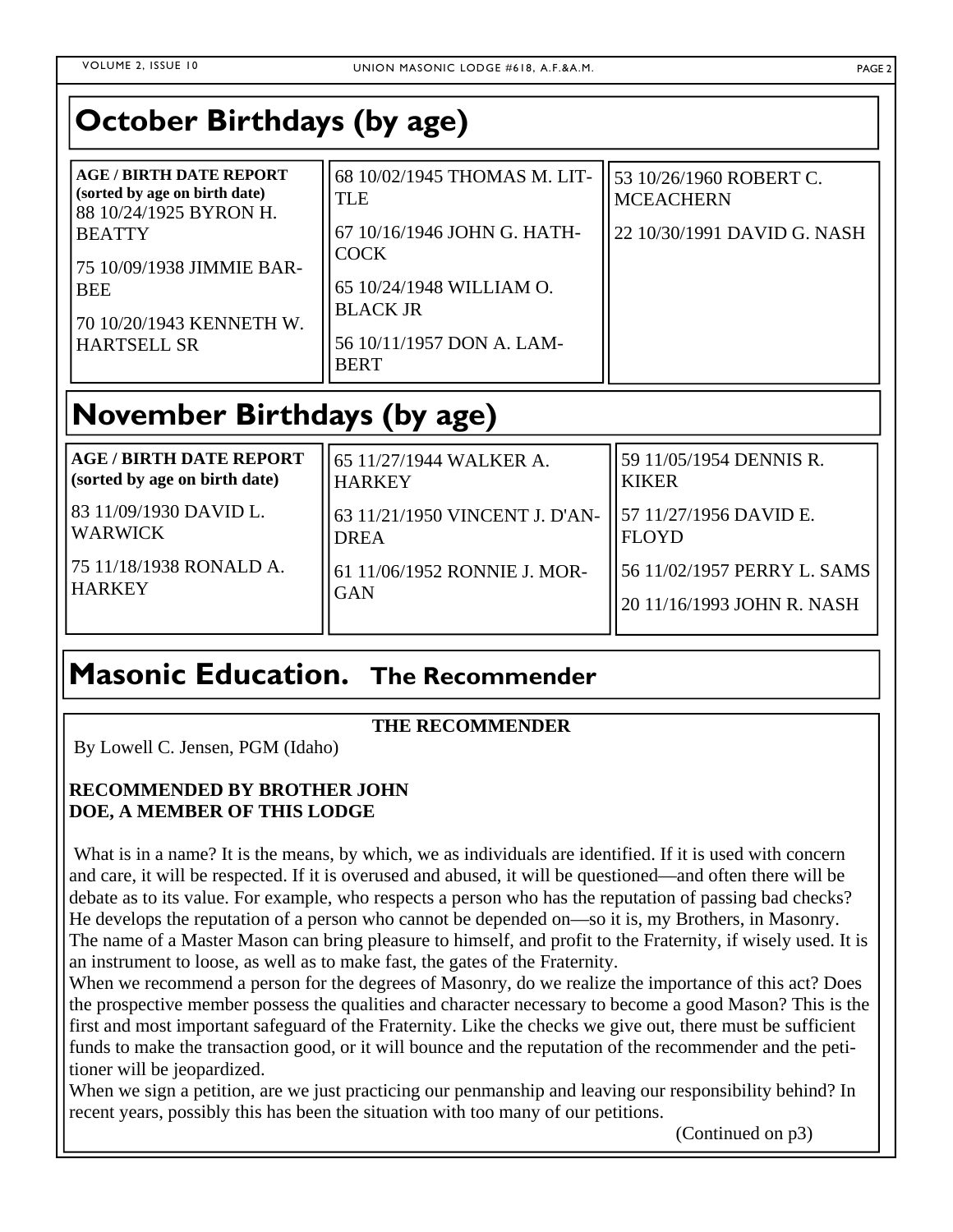# **October Birthdays (by age)**

| <b>AGE/BIRTH DATE REPORT</b><br>(sorted by age on birth date)<br>88 10/24/1925 BYRON H. | 68 10/02/1945 THOMAS M. LIT-<br>TLE         | 53 10/26/1960 ROBERT C.<br><b>MCEACHERN</b> |
|-----------------------------------------------------------------------------------------|---------------------------------------------|---------------------------------------------|
| <b>BEATTY</b><br>75 10/09/1938 JIMMIE BAR-                                              | 67 10/16/1946 JOHN G. HATH-<br><b>COCK</b>  | 22 10/30/1991 DAVID G. NASH                 |
| <b>BEE</b><br>70 10/20/1943 KENNETH W.                                                  | 65 10/24/1948 WILLIAM O.<br><b>BLACK JR</b> |                                             |
| <b>HARTSELL SR</b>                                                                      | 56 10/11/1957 DON A. LAM-<br><b>BERT</b>    |                                             |

## **November Birthdays (by age)**

| <b>AGE / BIRTH DATE REPORT</b>    | 65 11/27/1944 WALKER A.                                                | 59 11/05/1954 DENNIS R.     |
|-----------------------------------|------------------------------------------------------------------------|-----------------------------|
| (sorted by age on birth date)     | <b>HARKEY</b>                                                          | <b>KIKER</b>                |
| 83 11/09/1930 DAVID L.<br>WARWICK | 63 11/21/1950 VINCENT J. D'AN-   57 11/27/1956 DAVID E.<br><b>DREA</b> | <b>FLOYD</b>                |
| 175 11/18/1938 RONALD A.          | 61 11/06/1952 RONNIE J. MOR-                                           | 56 11/02/1957 PERRY L. SAMS |
| <b>HARKEY</b>                     | <b>GAN</b>                                                             | 20 11/16/1993 JOHN R. NASH  |

### **Masonic Education. The Recommender**

### **THE RECOMMENDER**

By Lowell C. Jensen, PGM (Idaho)

### **RECOMMENDED BY BROTHER JOHN DOE, A MEMBER OF THIS LODGE**

What is in a name? It is the means, by which, we as individuals are identified. If it is used with concern and care, it will be respected. If it is overused and abused, it will be questioned—and often there will be debate as to its value. For example, who respects a person who has the reputation of passing bad checks? He develops the reputation of a person who cannot be depended on—so it is, my Brothers, in Masonry. The name of a Master Mason can bring pleasure to himself, and profit to the Fraternity, if wisely used. It is an instrument to loose, as well as to make fast, the gates of the Fraternity.

When we recommend a person for the degrees of Masonry, do we realize the importance of this act? Does the prospective member possess the qualities and character necessary to become a good Mason? This is the first and most important safeguard of the Fraternity. Like the checks we give out, there must be sufficient funds to make the transaction good, or it will bounce and the reputation of the recommender and the petitioner will be jeopardized.

When we sign a petition, are we just practicing our penmanship and leaving our responsibility behind? In recent years, possibly this has been the situation with too many of our petitions.

(Continued on p3)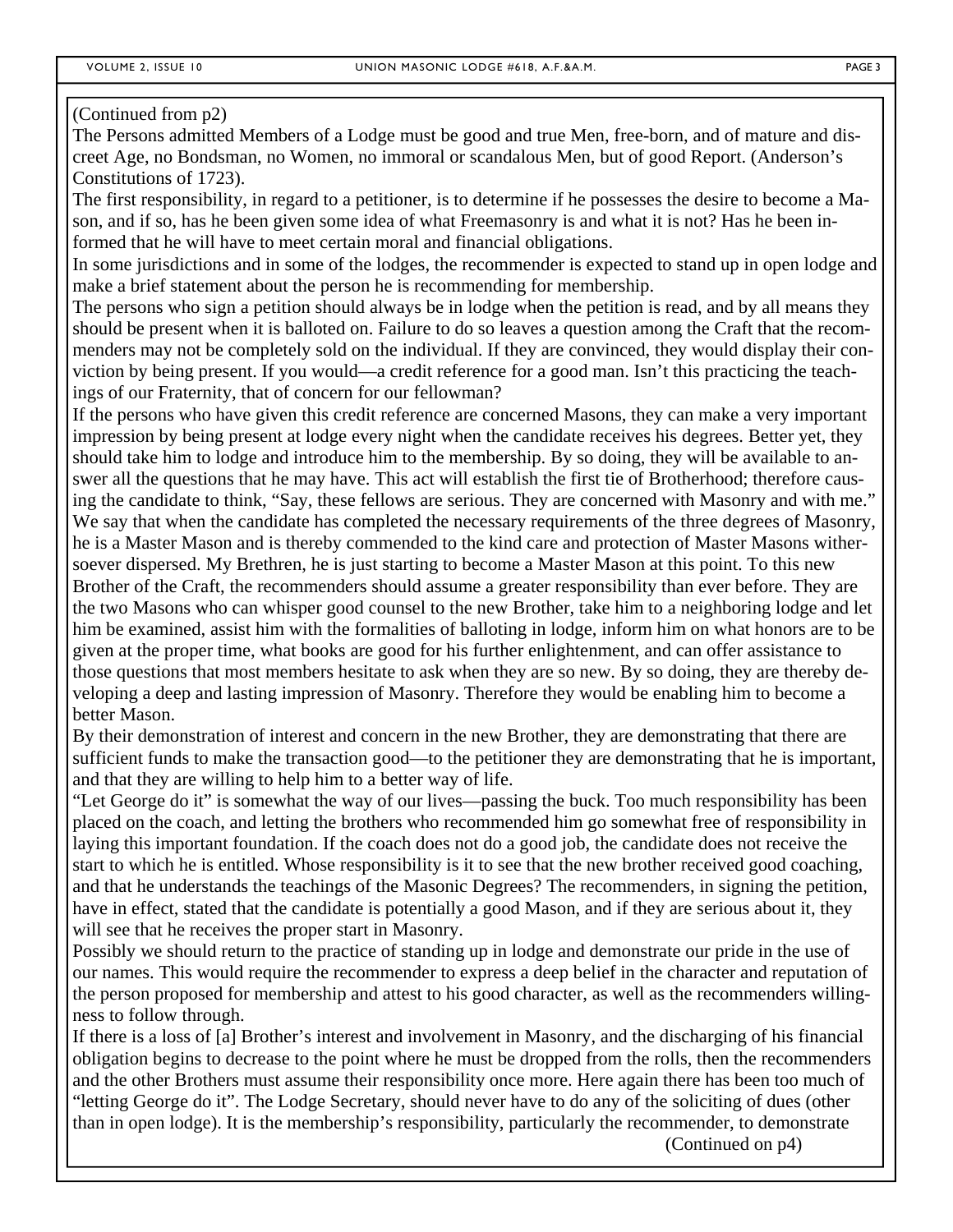#### (Continued from p2)

The Persons admitted Members of a Lodge must be good and true Men, free-born, and of mature and discreet Age, no Bondsman, no Women, no immoral or scandalous Men, but of good Report. (Anderson's Constitutions of 1723).

The first responsibility, in regard to a petitioner, is to determine if he possesses the desire to become a Mason, and if so, has he been given some idea of what Freemasonry is and what it is not? Has he been informed that he will have to meet certain moral and financial obligations.

In some jurisdictions and in some of the lodges, the recommender is expected to stand up in open lodge and make a brief statement about the person he is recommending for membership.

The persons who sign a petition should always be in lodge when the petition is read, and by all means they should be present when it is balloted on. Failure to do so leaves a question among the Craft that the recommenders may not be completely sold on the individual. If they are convinced, they would display their conviction by being present. If you would—a credit reference for a good man. Isn't this practicing the teachings of our Fraternity, that of concern for our fellowman?

If the persons who have given this credit reference are concerned Masons, they can make a very important impression by being present at lodge every night when the candidate receives his degrees. Better yet, they should take him to lodge and introduce him to the membership. By so doing, they will be available to answer all the questions that he may have. This act will establish the first tie of Brotherhood; therefore causing the candidate to think, "Say, these fellows are serious. They are concerned with Masonry and with me." We say that when the candidate has completed the necessary requirements of the three degrees of Masonry, he is a Master Mason and is thereby commended to the kind care and protection of Master Masons withersoever dispersed. My Brethren, he is just starting to become a Master Mason at this point. To this new Brother of the Craft, the recommenders should assume a greater responsibility than ever before. They are the two Masons who can whisper good counsel to the new Brother, take him to a neighboring lodge and let him be examined, assist him with the formalities of balloting in lodge, inform him on what honors are to be given at the proper time, what books are good for his further enlightenment, and can offer assistance to those questions that most members hesitate to ask when they are so new. By so doing, they are thereby developing a deep and lasting impression of Masonry. Therefore they would be enabling him to become a better Mason.

By their demonstration of interest and concern in the new Brother, they are demonstrating that there are sufficient funds to make the transaction good—to the petitioner they are demonstrating that he is important, and that they are willing to help him to a better way of life.

"Let George do it" is somewhat the way of our lives—passing the buck. Too much responsibility has been placed on the coach, and letting the brothers who recommended him go somewhat free of responsibility in laying this important foundation. If the coach does not do a good job, the candidate does not receive the start to which he is entitled. Whose responsibility is it to see that the new brother received good coaching, and that he understands the teachings of the Masonic Degrees? The recommenders, in signing the petition, have in effect, stated that the candidate is potentially a good Mason, and if they are serious about it, they will see that he receives the proper start in Masonry.

Possibly we should return to the practice of standing up in lodge and demonstrate our pride in the use of our names. This would require the recommender to express a deep belief in the character and reputation of the person proposed for membership and attest to his good character, as well as the recommenders willingness to follow through.

If there is a loss of [a] Brother's interest and involvement in Masonry, and the discharging of his financial obligation begins to decrease to the point where he must be dropped from the rolls, then the recommenders and the other Brothers must assume their responsibility once more. Here again there has been too much of "letting George do it". The Lodge Secretary, should never have to do any of the soliciting of dues (other than in open lodge). It is the membership's responsibility, particularly the recommender, to demonstrate (Continued on p4)